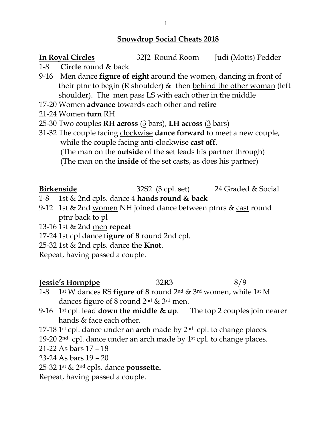#### **Snowdrop Social Cheats 2018**

## **In Royal Circles** 32J2 Round Room Judi (Motts) Pedder

- 1-8 **Circle** round & back.
- 9-16 Men dance **figure of eight** around the women, dancing in front of their ptnr to begin (R shoulder)  $\&$  then behind the other woman (left shoulder). The men pass LS with each other in the middle
- 17-20 Women **advance** towards each other and **retire**
- 21-24 Women **turn** RH
- 25-30 Two couples **RH across** (3 bars), **LH across** (3 bars)
- 31-32 The couple facing clockwise **dance forward** to meet a new couple, while the couple facing anti-clockwise **cast off**.

(The man on the **outside** of the set leads his partner through)

(The man on the **inside** of the set casts, as does his partner)

**Birkenside** 32S2 (3 cpl. set) 24 Graded & Social

- 1-8 1st & 2nd cpls. dance 4 **hands round & back**
- 9-12 1st & 2nd women NH joined dance between ptnrs & cast round ptnr back to pl
- 13-16 1st & 2nd men **repeat**
- 17-24 1st cpl dance f**igure of 8** round 2nd cpl.
- 25-32 1st & 2nd cpls. dance the **Knot**.
- Repeat, having passed a couple.

## **Jessie's Hornpipe** 32R3 8/9

- 1-8 1st W dances RS **figure of 8** round 2nd & 3rd women, while 1st M dances figure of 8 round 2nd & 3rd men.
- 9-16 1st cpl. lead **down the middle & up**. The top 2 couples join nearer hands & face each other.
- 17-18 1st cpl. dance under an **arch** made by 2nd cpl. to change places.
- 19-20  $2<sup>nd</sup>$  cpl. dance under an arch made by  $1<sup>st</sup>$  cpl. to change places.
- 21-22 As bars 17 18
- 23-24 As bars 19 20
- 25-32 1st & 2nd cpls. dance **poussette.**
- Repeat, having passed a couple.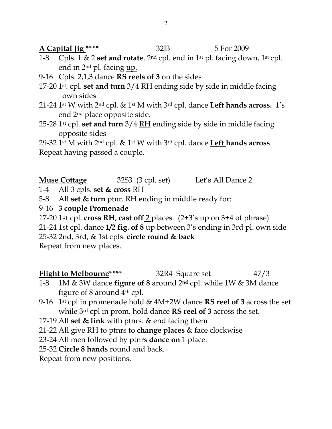**A Capital Jig \*\*\*\*** 32J3 5 For 2009

- 1-8 Cpls. 1 & 2 **set and rotate**. 2nd cpl. end in 1st pl. facing down, 1st cpl. end in 2nd pl. facing up.
- 9-16 Cpls. 2,1,3 dance **RS reels of 3** on the sides
- 17-20 1st. cpl. **set and turn** 3/4 RH ending side by side in middle facing own sides
- 21-24 1st W with 2nd cpl. & 1st M with 3rd cpl. dance **Left hands across.** 1's end 2nd place opposite side.
- 25-28 1st cpl. **set and turn** 3/4 RH ending side by side in middle facing opposite sides

29-32 1st M with 2nd cpl. & 1st W with 3rd cpl. dance **Left hands across**. Repeat having passed a couple.

- **Muse Cottage** 32S3 (3 cpl. set) Let's All Dance 2
- 1-4 All 3 cpls. **set & cross** RH
- 5-8 All **set & turn** ptnr. RH ending in middle ready for:
- 9-16 **3 couple Promenade**
- 17-20 1st cpl. **cross RH**, **cast off** 2 places. (2+3's up on 3+4 of phrase)

21-24 1st cpl. dance **1/2 fig. of 8** up between 3's ending in 3rd pl. own side

25-32 2nd, 3rd, & 1st cpls. **circle round & back**

Repeat from new places.

## **Flight to Melbourne**\*\*\*\* 32R4 Square set 47/3

- 1-8 1M & 3W dance **figure of 8** around 2nd cpl. while 1W & 3M dance figure of 8 around  $4<sup>th</sup>$  cpl.
- 9-16 1st cpl in promenade hold & 4M+2W dance **RS reel of 3** across the set while 3rd cpl in prom. hold dance **RS reel of 3** across the set.
- 17-19 All **set & link** with ptnrs. & end facing them
- 21-22 All give RH to ptnrs to **change places** & face clockwise
- 23-24 All men followed by ptnrs **dance on** 1 place.
- 25-32 **Circle 8 hands** round and back.

Repeat from new positions.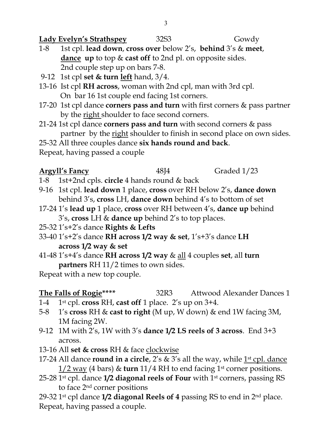**Lady Evelyn's Strathspey** 32S3 Gowdy

- 1-8 1st cpl. **lead down**, **cross over** below 2's, **behind** 3's & **meet**, **dance up** to top & **cast off** to 2nd pl. on opposite sides. 2nd couple step up on bars 7-8.
- 9-12 1st cpl **set & turn left** hand, 3/4.
- 13-16 Ist cpl **RH across**, woman with 2nd cpl, man with 3rd cpl. On bar 16 1st couple end facing 1st corners.
- 17-20 1st cpl dance **corners pass and turn** with first corners & pass partner by the right shoulder to face second corners.
- 21-24 1st cpl dance **corners pass and turn** with second corners & pass partner by the right shoulder to finish in second place on own sides. 25-32 All three couples dance **six hands round and back**.

Repeat, having passed a couple

## **Argyll's Fancy** 48J4 Graded 1/23

- 1-8 1st+2nd cpls. **circle** 4 hands round & back
- 9-16 1st cpl. **lead down** 1 place, **cross** over RH below 2's, **dance down** behind 3's, **cross** LH, **dance down** behind 4's to bottom of set
- 17-24 1's **lead up** 1 place, **cross** over RH between 4's, **dance up** behind 3's, **cross** LH & **dance up** behind 2's to top places.
- 25-32 1's+2's dance **Rights & Lefts**
- 33-40 1's+2's dance **RH across 1/2 way & set**, 1's+3's dance **LH across 1/2 way & set**
- 41-48 1's+4's dance **RH across 1/2 way** & all 4 couples **set**, all **turn partners** RH 11/2 times to own sides.

Repeat with a new top couple.

#### **The Falls of Rogie\*\*\*\*** 32R3 Attwood Alexander Dances 1

- 1-4 1st cpl. **cross** RH, **cast off** 1 place. 2's up on 3+4.
- 5-8 1's **cross** RH & **cast to right** (M up, W down) & end 1W facing 3M, 1M facing 2W.
- 9-12 1M with 2's, 1W with 3's **dance 1/2 LS reels of 3 across**. End 3+3 across.
- 13-16 All **set & cross** RH & face clockwise
- 17-24 All dance **round in a circle**, 2's & 3's all the way, while 1<sup>st</sup> cpl. dance 1/2 way (4 bars) & **turn** 11/4 RH to end facing 1st corner positions.
- 25-28 1st cpl. dance **1/2 diagonal reels of Four** with 1st corners, passing RS to face 2nd corner positions

29-32 1st cpl dance **1/2 diagonal Reels of 4** passing RS to end in 2nd place. Repeat, having passed a couple.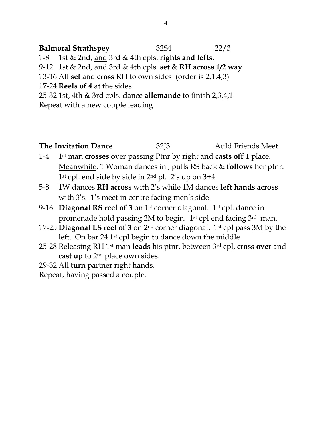**Balmoral Strathspey** 32S4 22/3 1-8 1st & 2nd, and 3rd & 4th cpls. **rights and lefts.** 9-12 1st & 2nd, and 3rd & 4th cpls. **set** & **RH across 1/2 way** 13-16 All **set** and **cross** RH to own sides (order is 2,1,4,3) 17-24 **Reels of 4** at the sides 25-32 1st, 4th & 3rd cpls. dance **allemande** to finish 2,3,4,1 Repeat with a new couple leading

**The Invitation Dance** 32J3 Auld Friends Meet 1-4 1st man **crosses** over passing Ptnr by right and **casts off** 1 place. Meanwhile, 1 Woman dances in , pulls RS back & **follows** her ptnr.  $1<sup>st</sup>$  cpl. end side by side in  $2<sup>nd</sup>$  pl.  $2's$  up on  $3+4$ 5-8 1W dances **RH across** with 2's while 1M dances **left hands across** with 3's. 1's meet in centre facing men's side 9-16 **Diagonal RS reel of 3** on 1st corner diagonal. 1st cpl. dance in promenade hold passing 2M to begin. 1st cpl end facing 3rd man. 17-25 **Diagonal LS reel of 3** on 2nd corner diagonal. 1st cpl pass 3M by the left. On bar 24 1st cpl begin to dance down the middle 25-28 Releasing RH 1st man **leads** his ptnr. between 3rd cpl, **cross over** and

**cast up** to 2nd place own sides.

29-32 All **turn** partner right hands.

Repeat, having passed a couple.